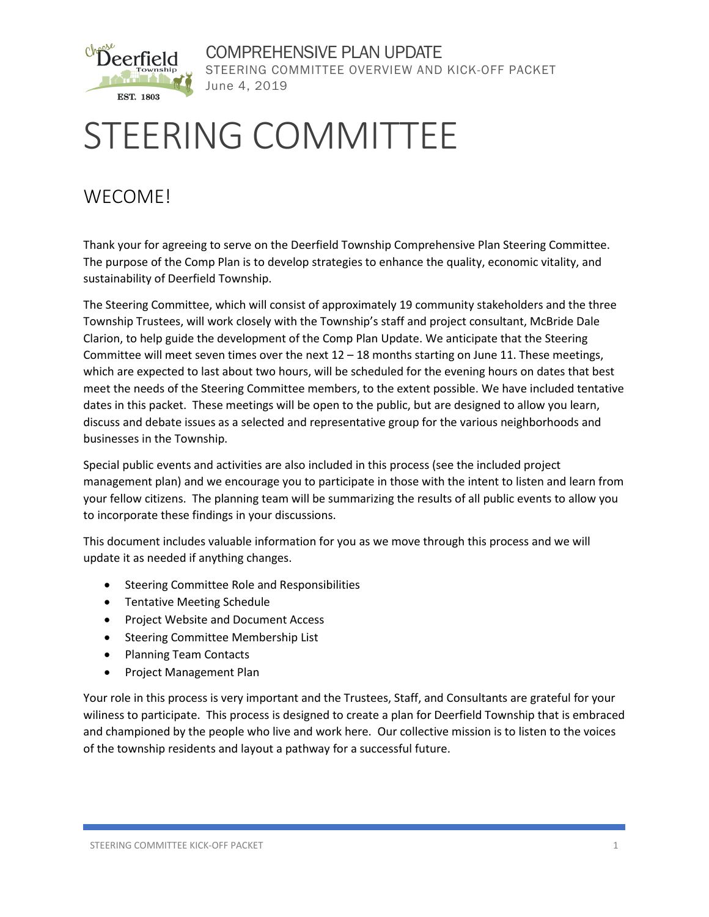

COMPREHENSIVE PLAN UPDATE STEERING COMMITTEE OVERVIEW AND KICK-OFF PACKET June 4, 2019

# STEERING COMMITTEE

## WECOME!

Thank your for agreeing to serve on the Deerfield Township Comprehensive Plan Steering Committee. The purpose of the Comp Plan is to develop strategies to enhance the quality, economic vitality, and sustainability of Deerfield Township.

The Steering Committee, which will consist of approximately 19 community stakeholders and the three Township Trustees, will work closely with the Township's staff and project consultant, McBride Dale Clarion, to help guide the development of the Comp Plan Update. We anticipate that the Steering Committee will meet seven times over the next 12 – 18 months starting on June 11. These meetings, which are expected to last about two hours, will be scheduled for the evening hours on dates that best meet the needs of the Steering Committee members, to the extent possible. We have included tentative dates in this packet. These meetings will be open to the public, but are designed to allow you learn, discuss and debate issues as a selected and representative group for the various neighborhoods and businesses in the Township.

Special public events and activities are also included in this process (see the included project management plan) and we encourage you to participate in those with the intent to listen and learn from your fellow citizens. The planning team will be summarizing the results of all public events to allow you to incorporate these findings in your discussions.

This document includes valuable information for you as we move through this process and we will update it as needed if anything changes.

- Steering Committee Role and Responsibilities
- Tentative Meeting Schedule
- Project Website and Document Access
- Steering Committee Membership List
- Planning Team Contacts
- Project Management Plan

Your role in this process is very important and the Trustees, Staff, and Consultants are grateful for your wiliness to participate. This process is designed to create a plan for Deerfield Township that is embraced and championed by the people who live and work here. Our collective mission is to listen to the voices of the township residents and layout a pathway for a successful future.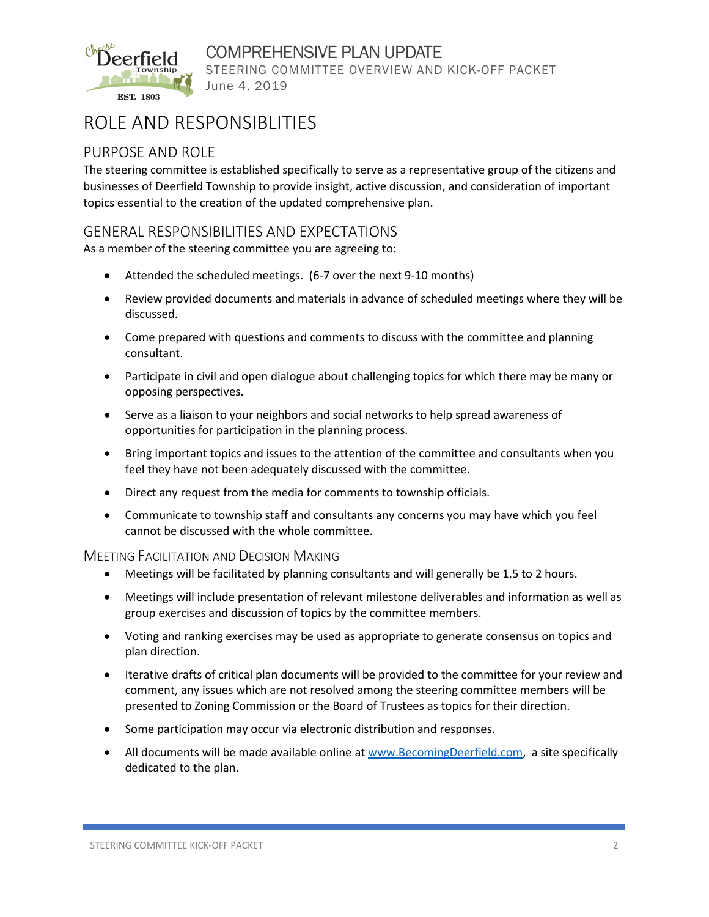

COMPREHENSIVE PLAN UPDATE STEERING COMMITTEE OVERVIEW AND KICK-OFF PACKET June 4, 2019

## ROLE AND RESPONSIBLITIES

#### PURPOSE AND ROLE

The steering committee is established specifically to serve as a representative group of the citizens and businesses of Deerfield Township to provide insight, active discussion, and consideration of important topics essential to the creation of the updated comprehensive plan.

#### GENERAL RESPONSIBILITIES AND EXPECTATIONS

As a member of the steering committee you are agreeing to:

- Attended the scheduled meetings. (6-7 over the next 9-10 months)
- Review provided documents and materials in advance of scheduled meetings where they will be discussed.
- Come prepared with questions and comments to discuss with the committee and planning consultant.
- Participate in civil and open dialogue about challenging topics for which there may be many or opposing perspectives.
- Serve as a liaison to your neighbors and social networks to help spread awareness of opportunities for participation in the planning process.
- Bring important topics and issues to the attention of the committee and consultants when you feel they have not been adequately discussed with the committee.
- Direct any request from the media for comments to township officials.
- Communicate to township staff and consultants any concerns you may have which you feel cannot be discussed with the whole committee.

#### MEETING FACILITATION AND DECISION MAKING

- Meetings will be facilitated by planning consultants and will generally be 1.5 to 2 hours.
- Meetings will include presentation of relevant milestone deliverables and information as well as group exercises and discussion of topics by the committee members.
- Voting and ranking exercises may be used as appropriate to generate consensus on topics and plan direction.
- Iterative drafts of critical plan documents will be provided to the committee for your review and comment, any issues which are not resolved among the steering committee members will be presented to Zoning Commission or the Board of Trustees as topics for their direction.
- Some participation may occur via electronic distribution and responses.
- All documents will be made available online at [www.BecomingDeerfield.com,](http://www.becomingdeerfield.com/) a site specifically dedicated to the plan.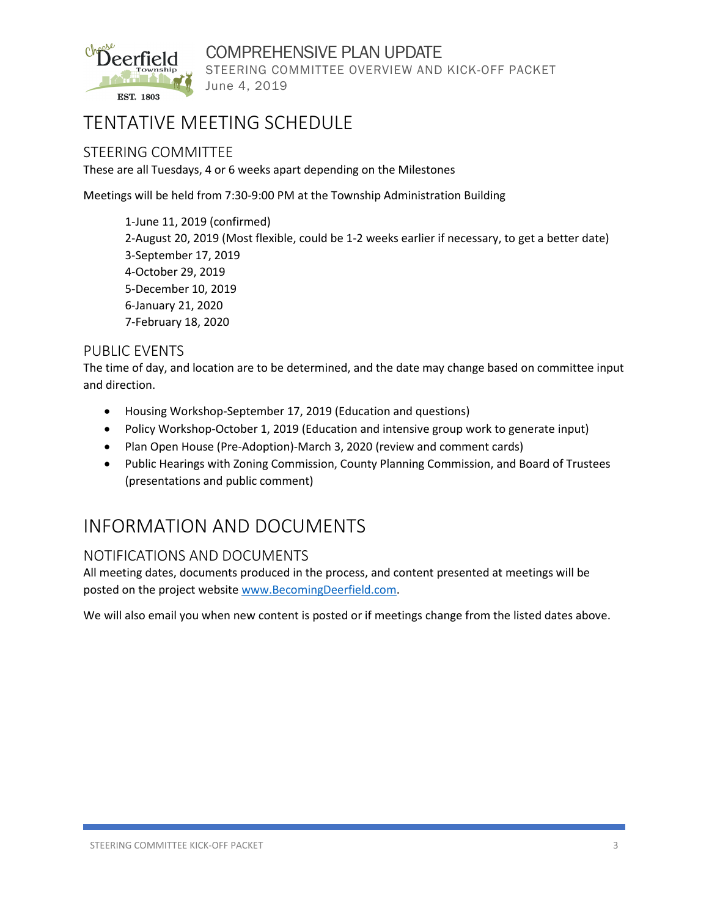

COMPREHENSIVE PLAN UPDATE STEERING COMMITTEE OVERVIEW AND KICK-OFF PACKET June 4, 2019

## TENTATIVE MEETING SCHEDULE

#### STEERING COMMITTEE

These are all Tuesdays, 4 or 6 weeks apart depending on the Milestones

Meetings will be held from 7:30-9:00 PM at the Township Administration Building

1-June 11, 2019 (confirmed) 2-August 20, 2019 (Most flexible, could be 1-2 weeks earlier if necessary, to get a better date) 3-September 17, 2019 4-October 29, 2019 5-December 10, 2019 6-January 21, 2020 7-February 18, 2020

#### PUBLIC EVENTS

The time of day, and location are to be determined, and the date may change based on committee input and direction.

- Housing Workshop-September 17, 2019 (Education and questions)
- Policy Workshop-October 1, 2019 (Education and intensive group work to generate input)
- Plan Open House (Pre-Adoption)-March 3, 2020 (review and comment cards)
- Public Hearings with Zoning Commission, County Planning Commission, and Board of Trustees (presentations and public comment)

### INFORMATION AND DOCUMENTS

#### NOTIFICATIONS AND DOCUMENTS

All meeting dates, documents produced in the process, and content presented at meetings will be posted on the project websit[e www.BecomingDeerfield.com.](http://www.becomingdeerfield.com/)

We will also email you when new content is posted or if meetings change from the listed dates above.